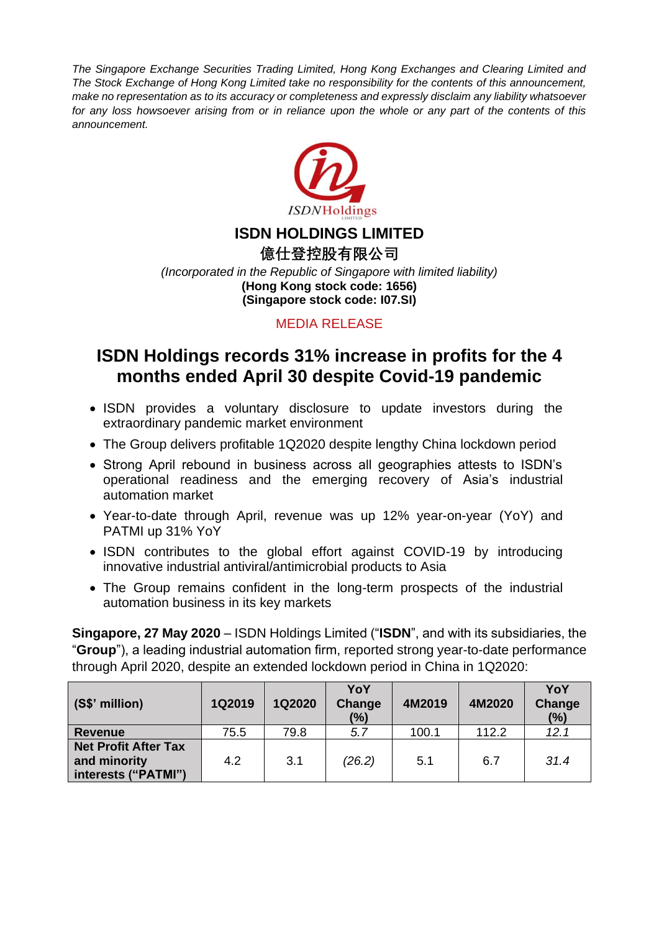*The Singapore Exchange Securities Trading Limited, Hong Kong Exchanges and Clearing Limited and The Stock Exchange of Hong Kong Limited take no responsibility for the contents of this announcement, make no representation as to its accuracy or completeness and expressly disclaim any liability whatsoever for any loss howsoever arising from or in reliance upon the whole or any part of the contents of this announcement.*



## **ISDN HOLDINGS LIMITED**

**億仕登控股有限公司** *(Incorporated in the Republic of Singapore with limited liability)* **(Hong Kong stock code: 1656) (Singapore stock code: I07.SI)**

#### MEDIA RELEASE

# **ISDN Holdings records 31% increase in profits for the 4 months ended April 30 despite Covid-19 pandemic**

- ISDN provides a voluntary disclosure to update investors during the extraordinary pandemic market environment
- The Group delivers profitable 1Q2020 despite lengthy China lockdown period
- Strong April rebound in business across all geographies attests to ISDN's operational readiness and the emerging recovery of Asia's industrial automation market
- Year-to-date through April, revenue was up 12% year-on-year (YoY) and PATMI up 31% YoY
- ISDN contributes to the global effort against COVID-19 by introducing innovative industrial antiviral/antimicrobial products to Asia
- The Group remains confident in the long-term prospects of the industrial automation business in its key markets

**Singapore, 27 May 2020** – ISDN Holdings Limited ("**ISDN**", and with its subsidiaries, the "**Group**"), a leading industrial automation firm, reported strong year-to-date performance through April 2020, despite an extended lockdown period in China in 1Q2020:

| $\vert$ (S\$' million)                                             | 1Q2019 | <b>1Q2020</b> | YoY<br>Change<br>(%) | 4M2019 | 4M2020 | YoY<br>Change<br>(%) |
|--------------------------------------------------------------------|--------|---------------|----------------------|--------|--------|----------------------|
| Revenue                                                            | 75.5   | 79.8          | 5.7                  | 100.1  | 112.2  | 12.1                 |
| <b>Net Profit After Tax</b><br>and minority<br>interests ("PATMI") | 4.2    | 3.1           | (26.2)               | 5.1    | 6.7    | 31.4                 |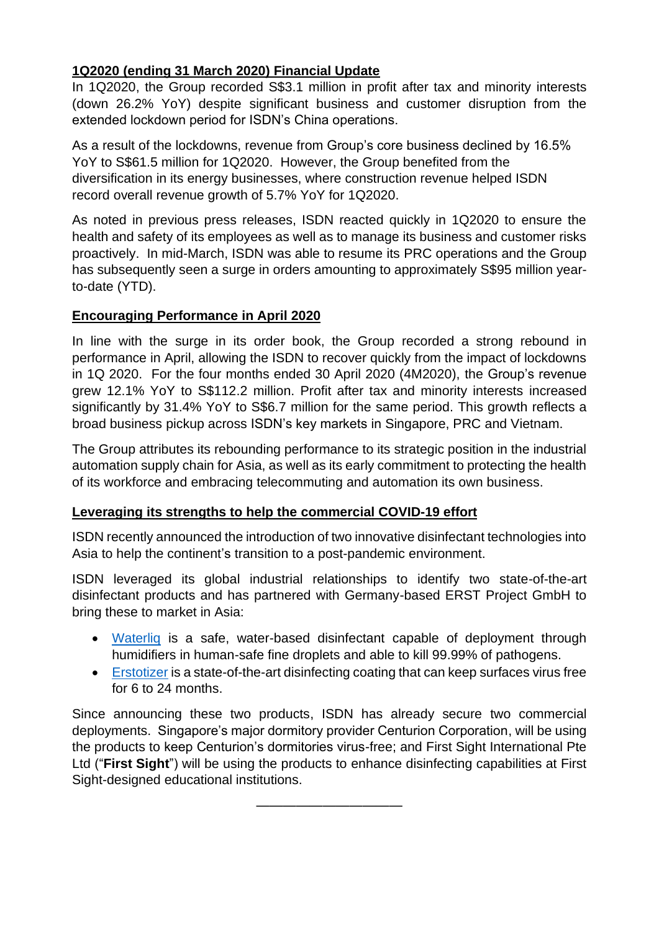### **1Q2020 (ending 31 March 2020) Financial Update**

In 1Q2020, the Group recorded S\$3.1 million in profit after tax and minority interests (down 26.2% YoY) despite significant business and customer disruption from the extended lockdown period for ISDN's China operations.

As a result of the lockdowns, revenue from Group's core business declined by 16.5% YoY to S\$61.5 million for 1Q2020. However, the Group benefited from the diversification in its energy businesses, where construction revenue helped ISDN record overall revenue growth of 5.7% YoY for 1Q2020.

As noted in previous press releases, ISDN reacted quickly in 1Q2020 to ensure the health and safety of its employees as well as to manage its business and customer risks proactively. In mid-March, ISDN was able to resume its PRC operations and the Group has subsequently seen a surge in orders amounting to approximately S\$95 million yearto-date (YTD).

#### **Encouraging Performance in April 2020**

In line with the surge in its order book, the Group recorded a strong rebound in performance in April, allowing the ISDN to recover quickly from the impact of lockdowns in 1Q 2020. For the four months ended 30 April 2020 (4M2020), the Group's revenue grew 12.1% YoY to S\$112.2 million. Profit after tax and minority interests increased significantly by 31.4% YoY to S\$6.7 million for the same period. This growth reflects a broad business pickup across ISDN's key markets in Singapore, PRC and Vietnam.

The Group attributes its rebounding performance to its strategic position in the industrial automation supply chain for Asia, as well as its early commitment to protecting the health of its workforce and embracing telecommuting and automation its own business.

#### **Leveraging its strengths to help the commercial COVID-19 effort**

ISDN recently announced the introduction of two innovative disinfectant technologies into Asia to help the continent's transition to a post-pandemic environment.

ISDN leveraged its global industrial relationships to identify two state-of-the-art disinfectant products and has partnered with Germany-based ERST Project GmbH to bring these to market in Asia:

- [Waterliq](https://www.dropbox.com/sh/ol8gtvl1fwtt2i1/AADxiYoJQhZvY1ZoKYOIYZVla?dl=0) is a safe, water-based disinfectant capable of deployment through humidifiers in human-safe fine droplets and able to kill 99.99% of pathogens.
- [Erstotizer](https://www.dropbox.com/sh/hc4wl64bzb2t3wl/AAAkpW9IKKot9GiuB5qon7ZNa?dl=0) is a state-of-the-art disinfecting coating that can keep surfaces virus free for 6 to 24 months.

Since announcing these two products, ISDN has already secure two commercial deployments. Singapore's major dormitory provider Centurion Corporation, will be using the products to keep Centurion's dormitories virus-free; and First Sight International Pte Ltd ("**First Sight**") will be using the products to enhance disinfecting capabilities at First Sight-designed educational institutions.

————————————————————